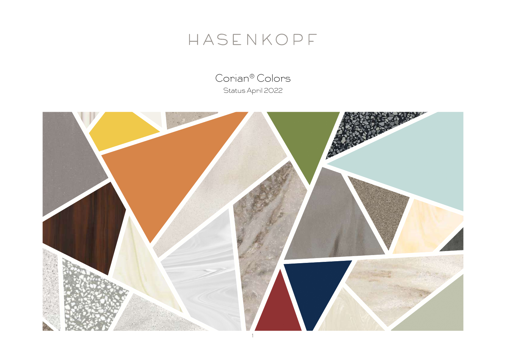# HASENKOPF

Corian® Colors Status April 2022

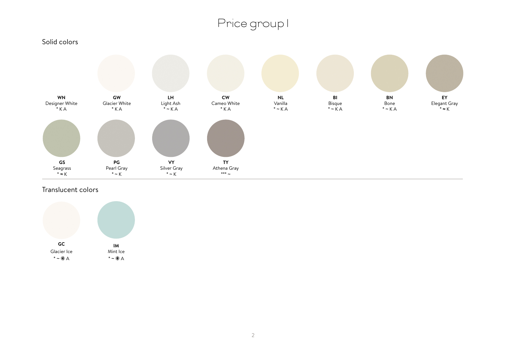

Translucent colors

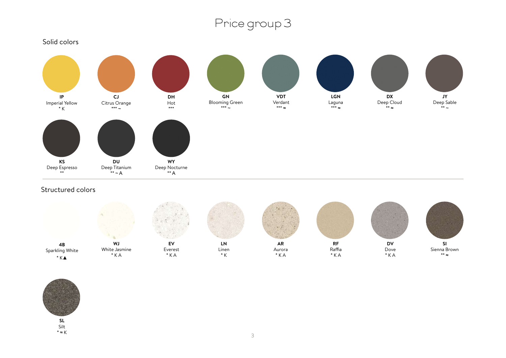

Structured colors



![](_page_2_Picture_4.jpeg)

**SL** Silt \* ≈ K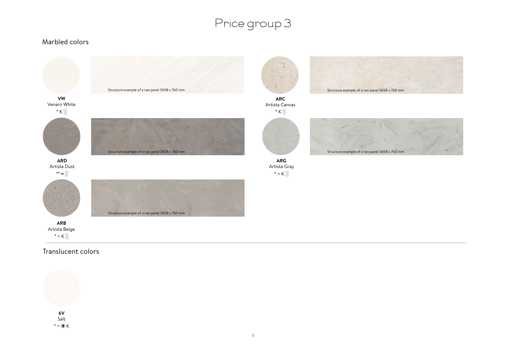#### Marbled colors

![](_page_3_Figure_2.jpeg)

#### Translucent colors

![](_page_3_Picture_4.jpeg)

**6V** Salt \* ~ K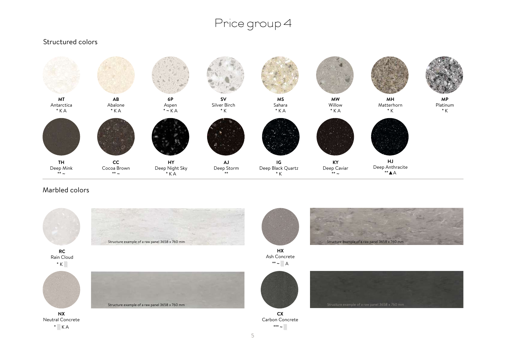#### **AB** Abalone  $*$  K A **MT** Antarctica  $*$  K A **6P** Aspen  $*$  ~ K A **CC**  Cocoa Brown  $** -$ **HJ** Deep Anthracite \*\*▲A **IG** Deep Black Quartz  $^\star$  K **KY** Deep Caviar \*\* ~ **TH** Deep Mink  $**$  ~ **HY** Deep Night Sky  $\overline{\phantom{a}}$  \* K A **AJ** Deep Storm \*\* **MP** Platinum \* K **MS** Sahara  $*$  K A **SV** Silver Birch \* K **MW**  Willow  $*$  K A **MH** Matterhorn \* K

### Marbled colors

Structured colors

![](_page_4_Picture_3.jpeg)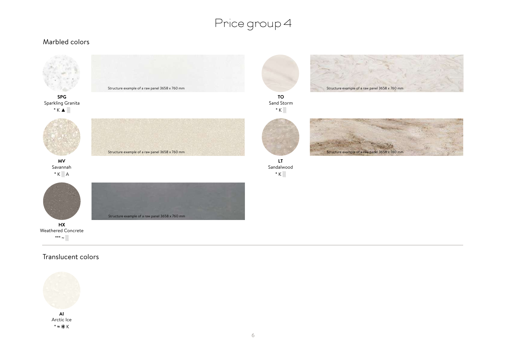#### Marbled colors

![](_page_5_Figure_2.jpeg)

![](_page_5_Picture_3.jpeg)

### Translucent colors

![](_page_5_Picture_5.jpeg)

**AI** Arctic Ice \* ≈ K

![](_page_5_Picture_7.jpeg)

**TO** Sand Storm  $*$  K $\ddot{\mathbb{R}}$ 

![](_page_5_Picture_9.jpeg)

![](_page_5_Picture_10.jpeg)

**LT** Sandalwood  $*$  K $\ddot{\circ}$ 

6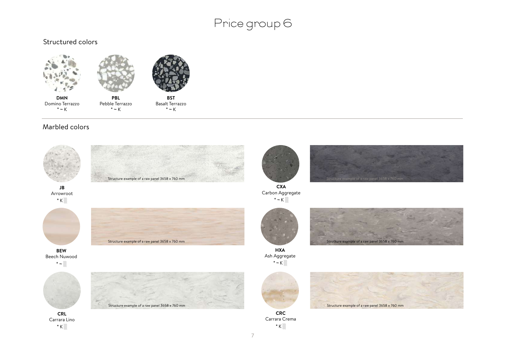#### Structured colors

![](_page_6_Figure_2.jpeg)

 $* \sim K$ 

**BST** Basalt Terrazzo

 $* \sim K$ 

#### Marbled colors

 $* \sim K$ 

![](_page_6_Picture_5.jpeg)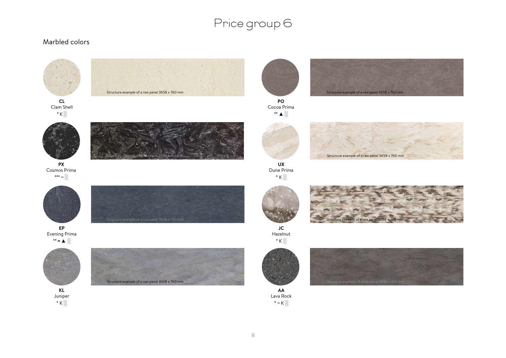### Marbled colors

![](_page_7_Figure_2.jpeg)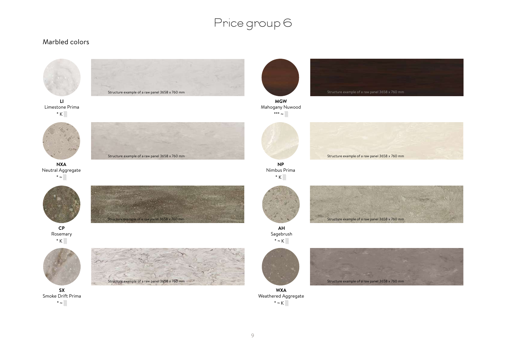#### Marbled colors

![](_page_8_Picture_2.jpeg)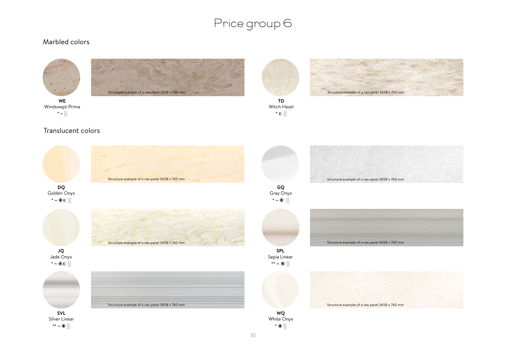#### Marbled colors

![](_page_9_Picture_2.jpeg)

![](_page_9_Picture_3.jpeg)

Windswept Prima \* ~ ░

![](_page_9_Picture_6.jpeg)

Witch Hazel  $*$  K  $\ddot{\otimes}$ 

![](_page_9_Picture_8.jpeg)

**TD** 

![](_page_9_Picture_10.jpeg)

#### Translucent colors

![](_page_9_Picture_12.jpeg)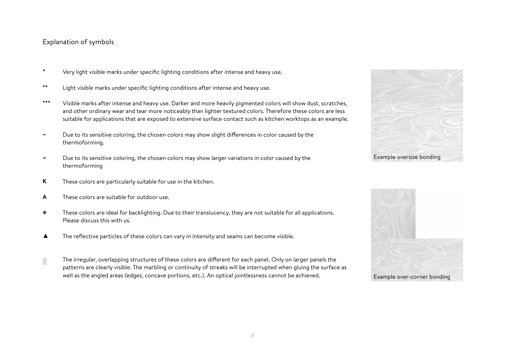#### Explanation of symbols

- Very light visible marks under specific lighting conditions after intense and heavy use. **\***
- Light visible marks under specific lighting conditions after intense and heavy use. **\*\***
- Visible marks after intense and heavy use. Darker and more heavily pigmented colors will show dust, scratches, and other ordinary wear and tear more noticeably than lighter textured colors. Therefore these colors are less suitable for applications that are exposed to extensive surface contact such as kitchen worktops as an example. **\*\*\***
- Due to its sensitive coloring, the chosen colors may show slight differences in color caused by the thermoforming. **~**
- Due to its sensitive coloring, the chosen colors may show larger variations in color caused by the thermoforming **≈**
- These colors are particularly suitable for use in the kitchen. **K**
- These colors are suitable for outdoor use. **A**
- ₩ These colors are ideal for backlighting. Due to their translucency, they are not suitable for all applications. Please discuss this with us.
- The reflective particles of these colors can vary in intensity and seams can become visible. ▲
- The irregular, overlapping structures of these colors are different for each panel. Only on larger panels the patterns are clearly visible. The marbling or continuity of streaks will be interrupted when gluing the surface as well as the angled areas (edges, concave portions, etc.). An optical jointlessness cannot be achieved. ░

![](_page_10_Picture_11.jpeg)

![](_page_10_Picture_12.jpeg)